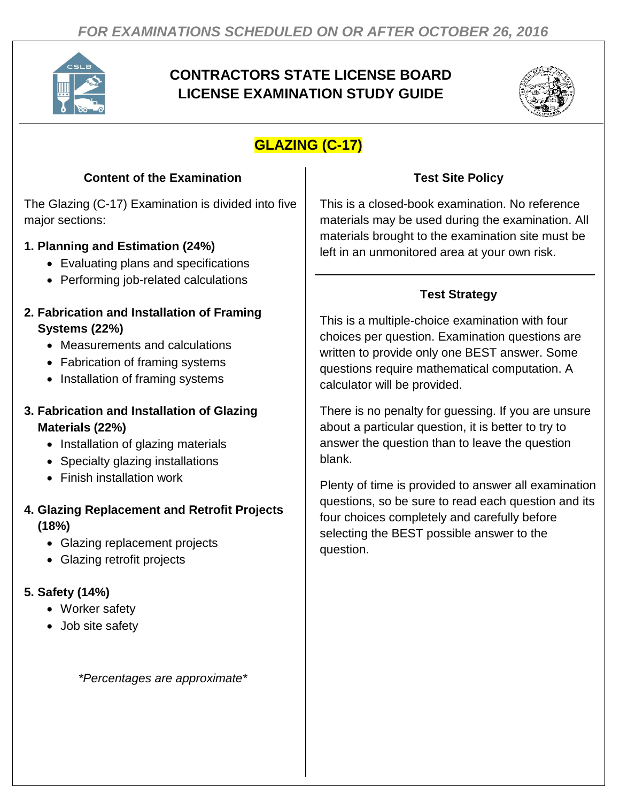

# **CONTRACTORS STATE LICENSE BOARD LICENSE EXAMINATION STUDY GUIDE**



# **GLAZING (C-17)**

## **Content of the Examination**

The Glazing (C-17) Examination is divided into five major sections:

## **1. Planning and Estimation (24%)**

- Evaluating plans and specifications
- Performing job-related calculations
- **2. Fabrication and Installation of Framing Systems (22%)**
	- Measurements and calculations
	- Fabrication of framing systems
	- Installation of framing systems

### **3. Fabrication and Installation of Glazing Materials (22%)**

- Installation of glazing materials
- Specialty glazing installations
- Finish installation work

## **4. Glazing Replacement and Retrofit Projects (18%)**

- Glazing replacement projects
- Glazing retrofit projects

## **5. Safety (14%)**

- Worker safety
- Job site safety

*\*Percentages are approximate\**

## **Test Site Policy**

This is a closed-book examination. No reference materials may be used during the examination. All materials brought to the examination site must be left in an unmonitored area at your own risk.

## **Test Strategy**

This is a multiple-choice examination with four choices per question. Examination questions are written to provide only one BEST answer. Some questions require mathematical computation. A calculator will be provided.

There is no penalty for guessing. If you are unsure about a particular question, it is better to try to answer the question than to leave the question blank.

Plenty of time is provided to answer all examination questions, so be sure to read each question and its four choices completely and carefully before selecting the BEST possible answer to the question.